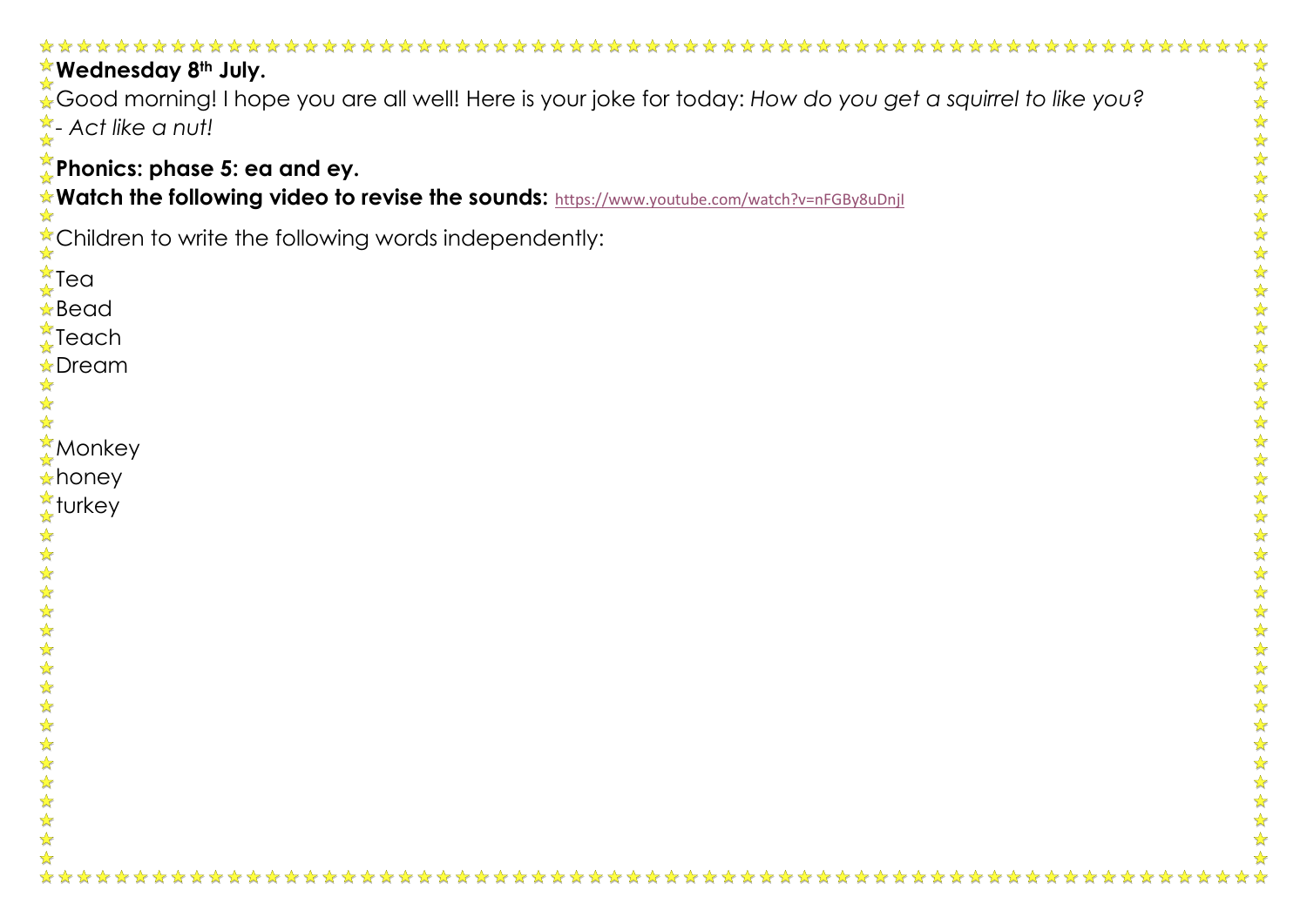| Wednesday 8th July.                                                                                                                                 |        |
|-----------------------------------------------------------------------------------------------------------------------------------------------------|--------|
| Good morning! I hope you are all well! Here is your joke for today: How do you get a squirrel to like you?<br>$\frac{1}{\lambda}$ - Act like a nut! |        |
| $\zeta$ Phonics: phase 5: ea and ey.<br>Watch the following video to revise the sounds: https://www.youtube.com/watch?v=nFGBy8uDnjl                 |        |
| Children to write the following words independently:                                                                                                |        |
| $\frac{2}{\sqrt{2}}$ Tea<br>$\star$ Bead                                                                                                            |        |
| $\frac{1}{4}$ Teach<br><b>☆Dream</b>                                                                                                                |        |
| <b>Monkey</b><br><b>A</b> honey                                                                                                                     |        |
| <u>☆</u> turkey                                                                                                                                     | ☆      |
|                                                                                                                                                     | ☆      |
|                                                                                                                                                     |        |
|                                                                                                                                                     |        |
|                                                                                                                                                     |        |
| 冷冷<br>☆                                                                                                                                             |        |
| ☆<br>$\frac{1}{2}$<br>$\frac{1}{\sqrt{2}}$                                                                                                          | 外外外外外外 |
| ☆                                                                                                                                                   |        |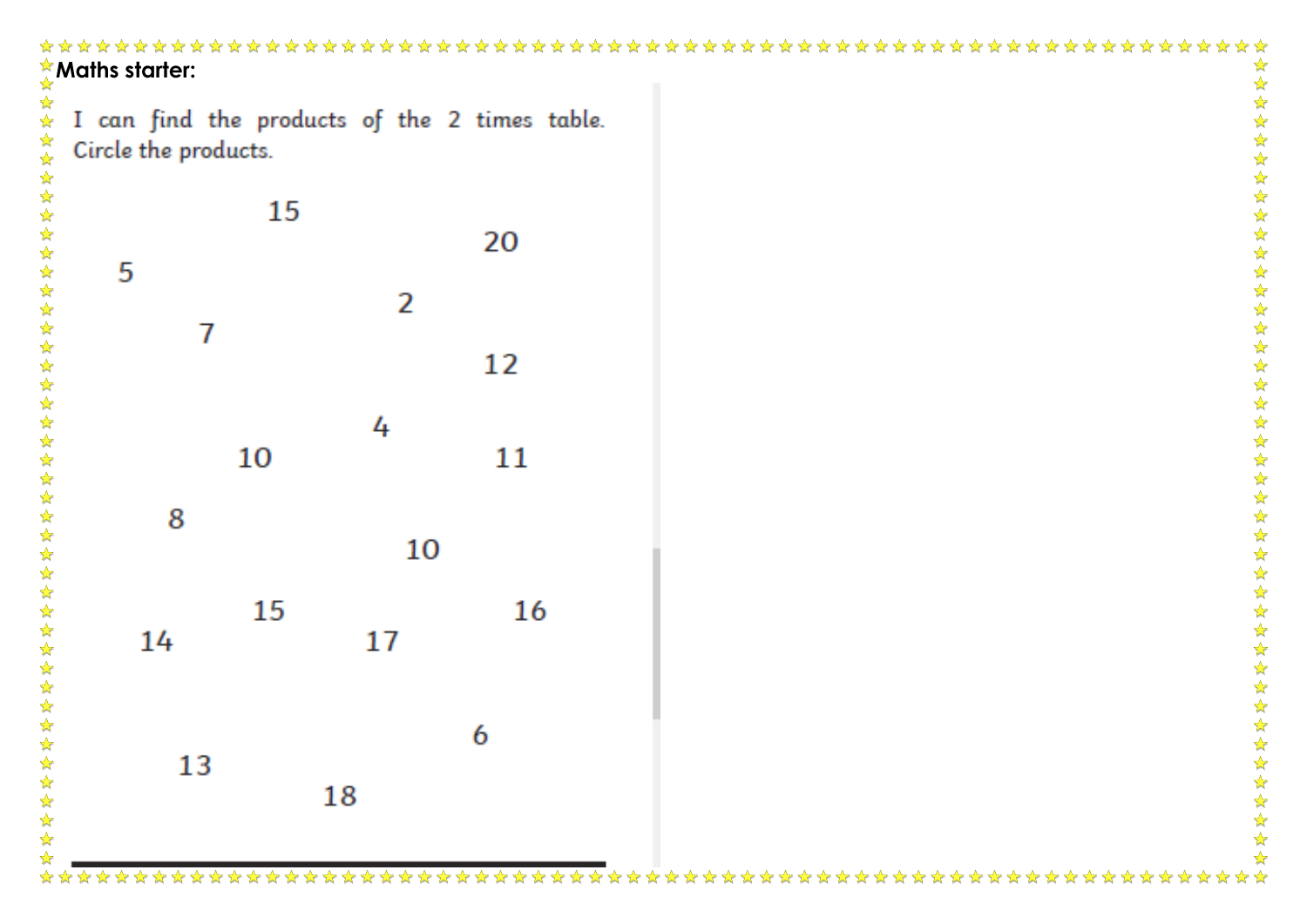| I can find the products of the 2 times table.<br>Circle the products. |                            |
|-----------------------------------------------------------------------|----------------------------|
| 15                                                                    | 20                         |
| 2                                                                     | 12                         |
| 4<br>10                                                               | 11                         |
| 10<br>15<br>17                                                        | 16                         |
| o                                                                     |                            |
| 13<br>$\frac{1}{2}$<br>18<br>25 25 25<br>$\frac{1}{\sqrt{2}}$         | ************************** |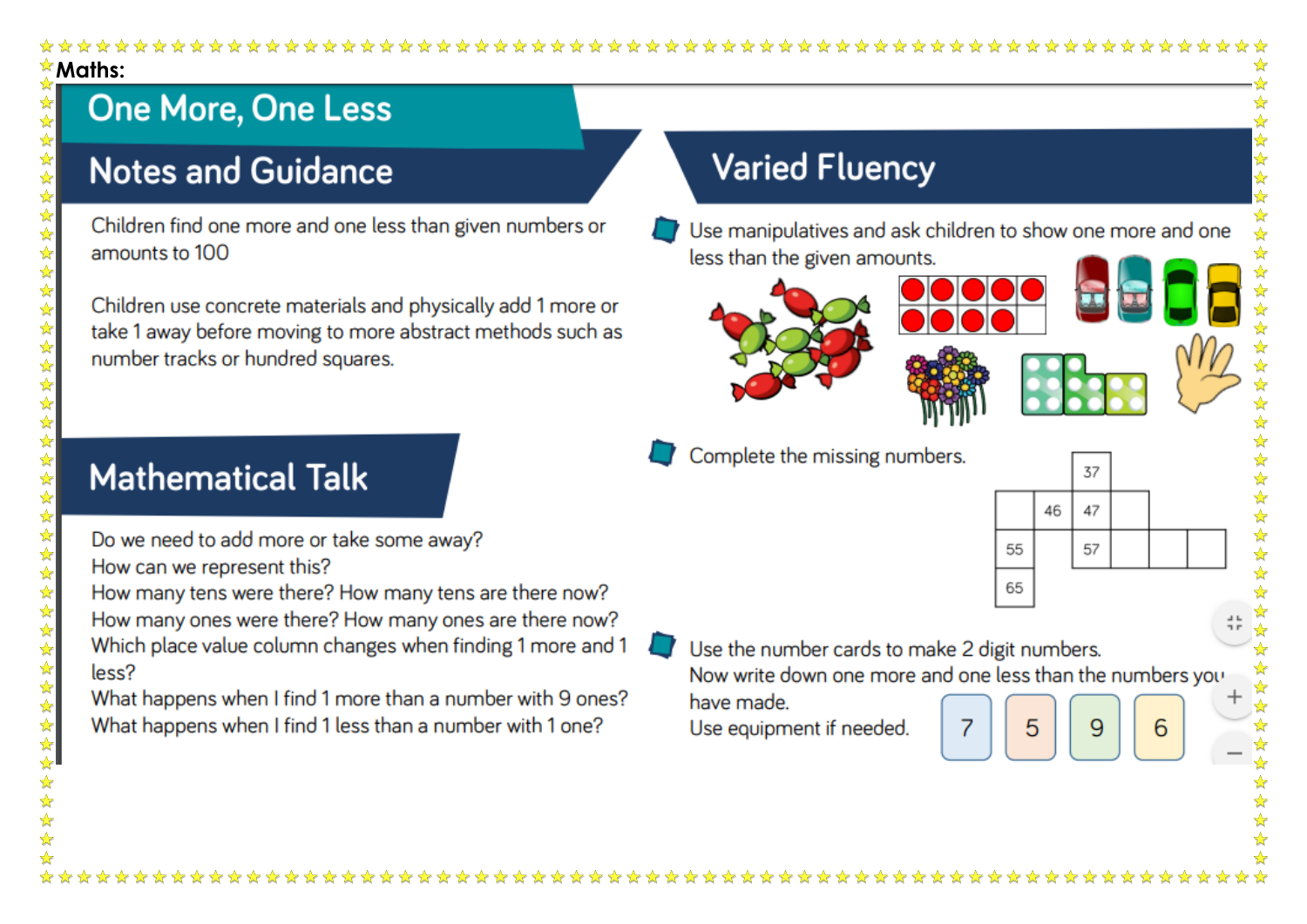$\star$  Maths:

# **One More, One Less**

 $\frac{1}{2}$ ☆  $\frac{1}{2}$ 计算

 $\frac{1}{2}$ 

5555

 $\frac{1}{2}$ 55年

\*\*\*\*\*

外外外外外

 $\frac{1}{\sqrt{2}}$ 

 $\frac{1}{\sqrt{2}}$ 

女女女女女女女女女女女女女女女女女女

 $\frac{\lambda}{\lambda^2}$ 

### **Notes and Guidance**

Children find one more and one less than given numbers or amounts to 100

Children use concrete materials and physically add 1 more or take 1 away before moving to more abstract methods such as number tracks or hundred squares.

### **Varied Fluency**

Use manipulatives and ask children to show one more and one less than the given amounts.







Complete the missing numbers.



# **Mathematical Talk**

- Do we need to add more or take some away? How can we represent this?
- How many tens were there? How many tens are there now? How many ones were there? How many ones are there now? Which place value column changes when finding 1 more and 1 less?

What happens when I find 1 more than a number with 9 ones? What happens when I find 1 less than a number with 1 one?

Use the number cards to make 2 digit numbers.

Now write down one more and one less than the numbers you

Use equipment if needed.

have made.

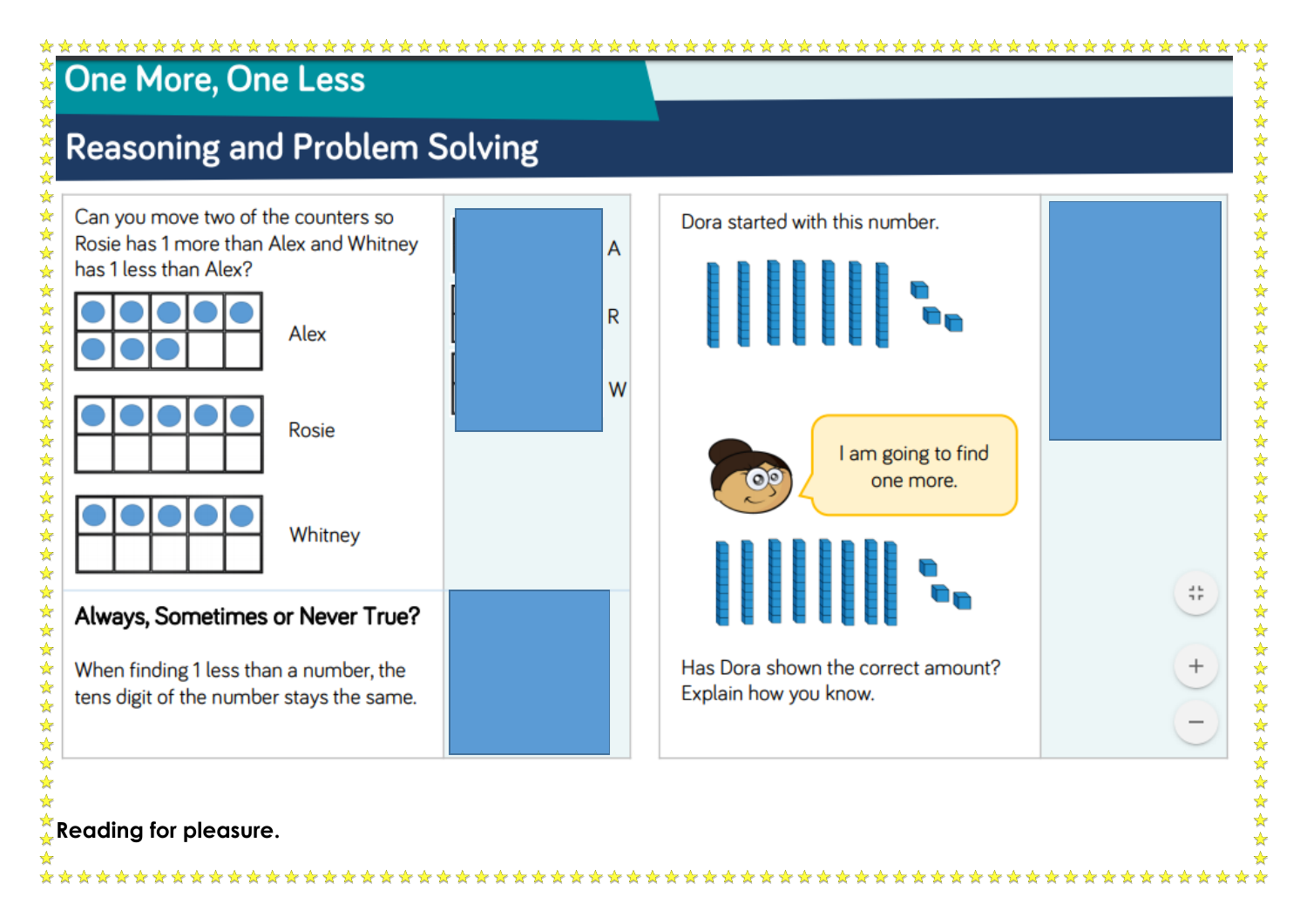#### 

A

R

W

# 外外外外外 **One More, One Less**

 $\frac{1}{\sqrt{2}}$ 

\*\*\*\*\*\*\*\*\*\*\*\*\*\*\*\*\*\*\*\*\*\*\*\*\*\*\*\*\*\*

外外外外外

# **Reasoning and Problem Solving**

Can you move two of the counters so Rosie has 1 more than Alex and Whitney has 1 less than Alex? Alex

|  |  |  | Rosie |
|--|--|--|-------|
|  |  |  |       |
|  |  |  |       |

Whitney Always, Sometimes or Never True?

When finding 1 less than a number, the tens digit of the number stays the same.



### Reading for pleasure.

쁖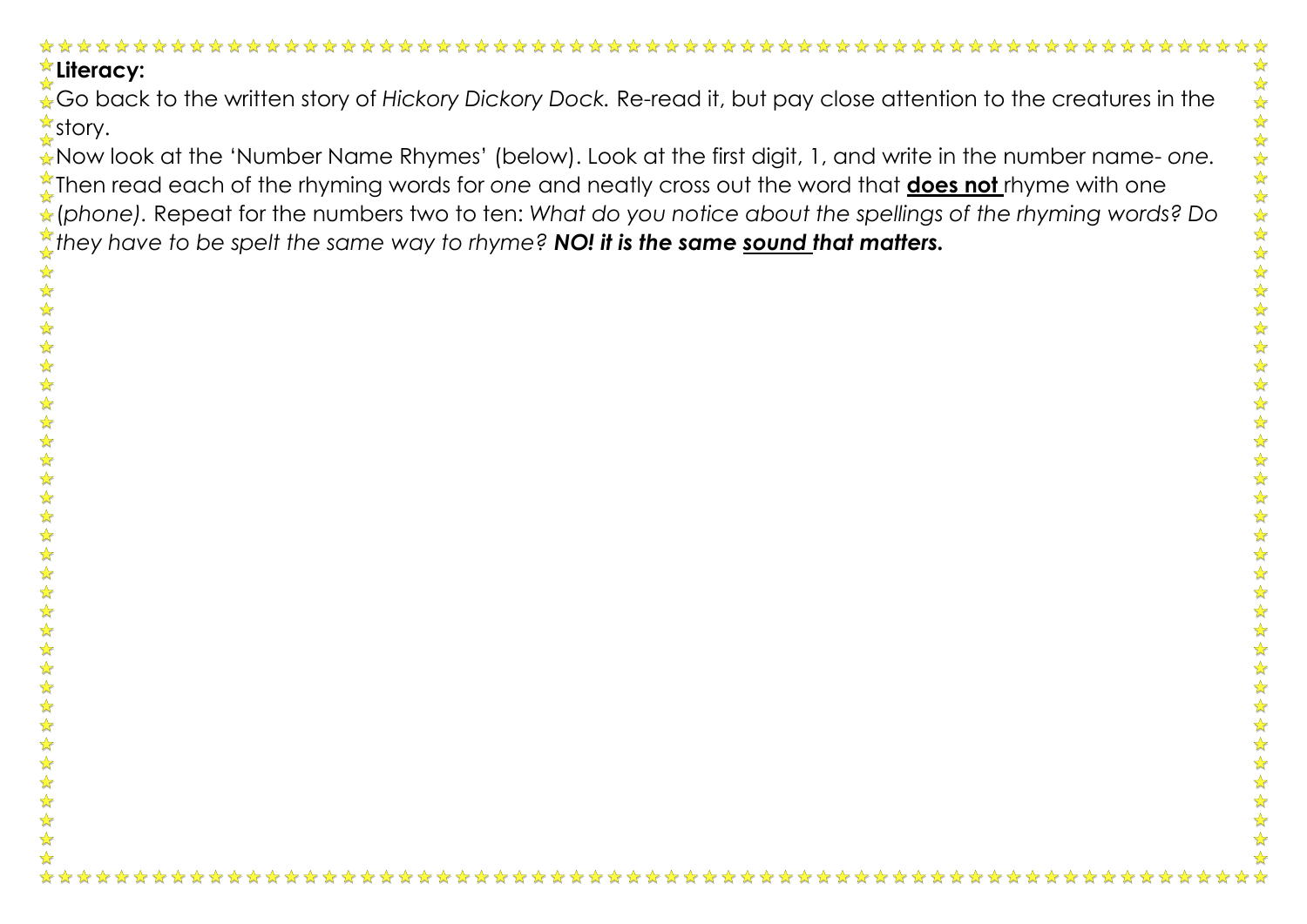#### **Literacy:**

Go back to the written story of *Hickory Dickory Dock.* Re-read it, but pay close attention to the creatures in the <u><del></del></u>≴story.

Now look at the 'Number Name Rhymes' (below). Look at the first digit, 1, and write in the number name- *one.*  Then read each of the rhyming words for one and neatly cross out the word that **does not** rhyme with one (*phone).* Repeat for the numbers two to ten: *What do you notice about the spellings of the rhyming words? Do they have to be spelt the same way to rhyme? NO! it is the same sound that matters.* 

☆ ☆  $\frac{1}{\sqrt{2}}$ 外外

冷冷

冷冷

外外  $\frac{1}{2}$ ☆ ☆ 冷冷  $\frac{\lambda}{\lambda}$  $\frac{\lambda}{\lambda}$ 冷冷

冷冷

☆ ☆  $\frac{1}{2}$ 

琴琴琴

 $\frac{\lambda}{\lambda}$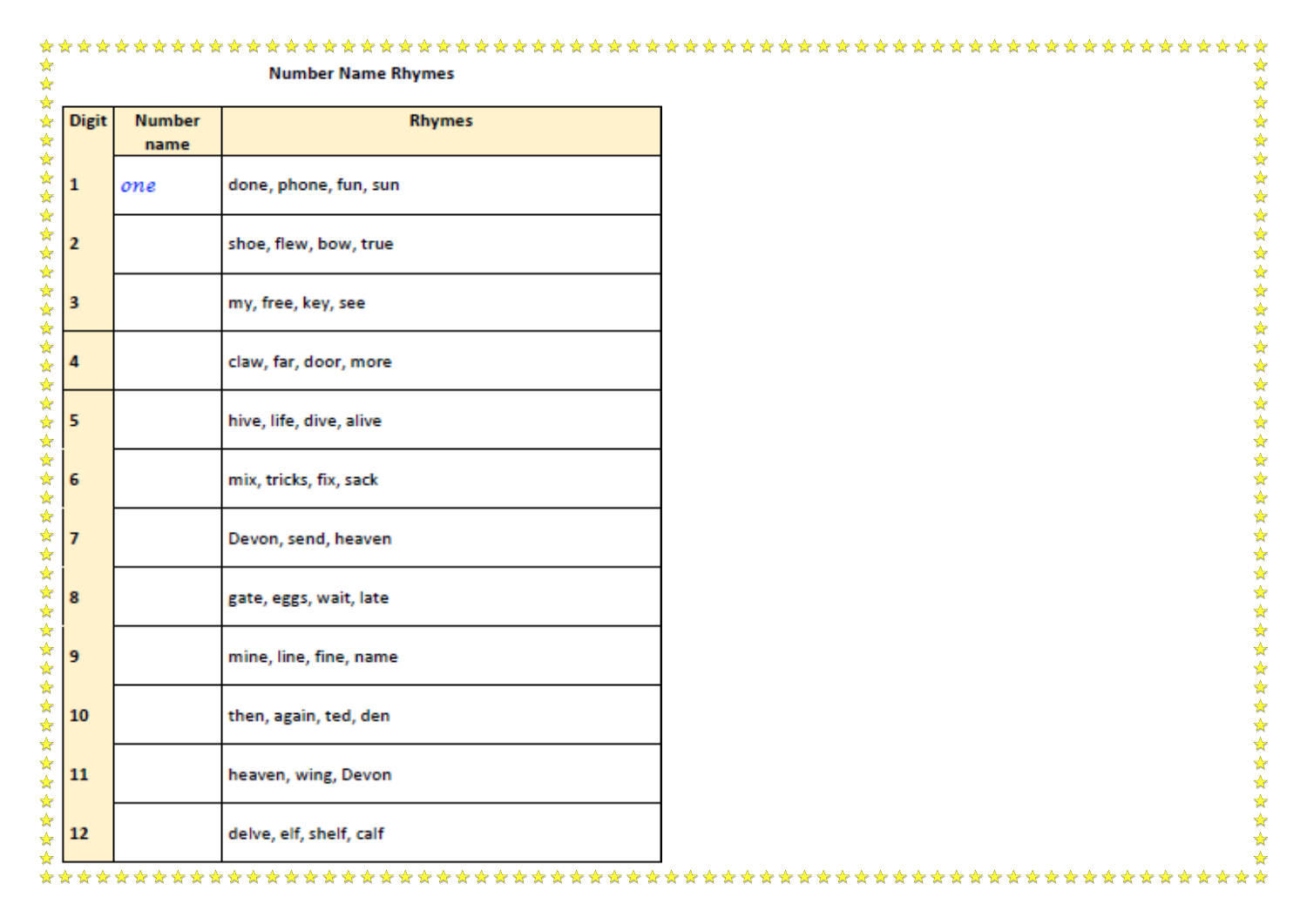|              |                       | <b>Number Name Rhymes</b> |  |
|--------------|-----------------------|---------------------------|--|
| <b>Digit</b> | <b>Number</b><br>name | <b>Rhymes</b>             |  |
| $\mathbf 1$  | one                   | done, phone, fun, sun     |  |
| 2            |                       | shoe, flew, bow, true     |  |
| 3            |                       | my, free, key, see        |  |
| 4            |                       | claw, far, door, more     |  |
| 5            |                       | hive, life, dive, alive   |  |
| 6            |                       | mix, tricks, fix, sack    |  |
| $\mathbb{Z}$ |                       | Devon, send, heaven       |  |
| 昙            |                       | gate, eggs, wait, late    |  |
| 9            |                       | mine, line, fine, name    |  |
| 10           |                       | then, again, ted, den     |  |
| 11           |                       | heaven, wing, Devon       |  |
| 12           |                       | delve, elf, shelf, calf   |  |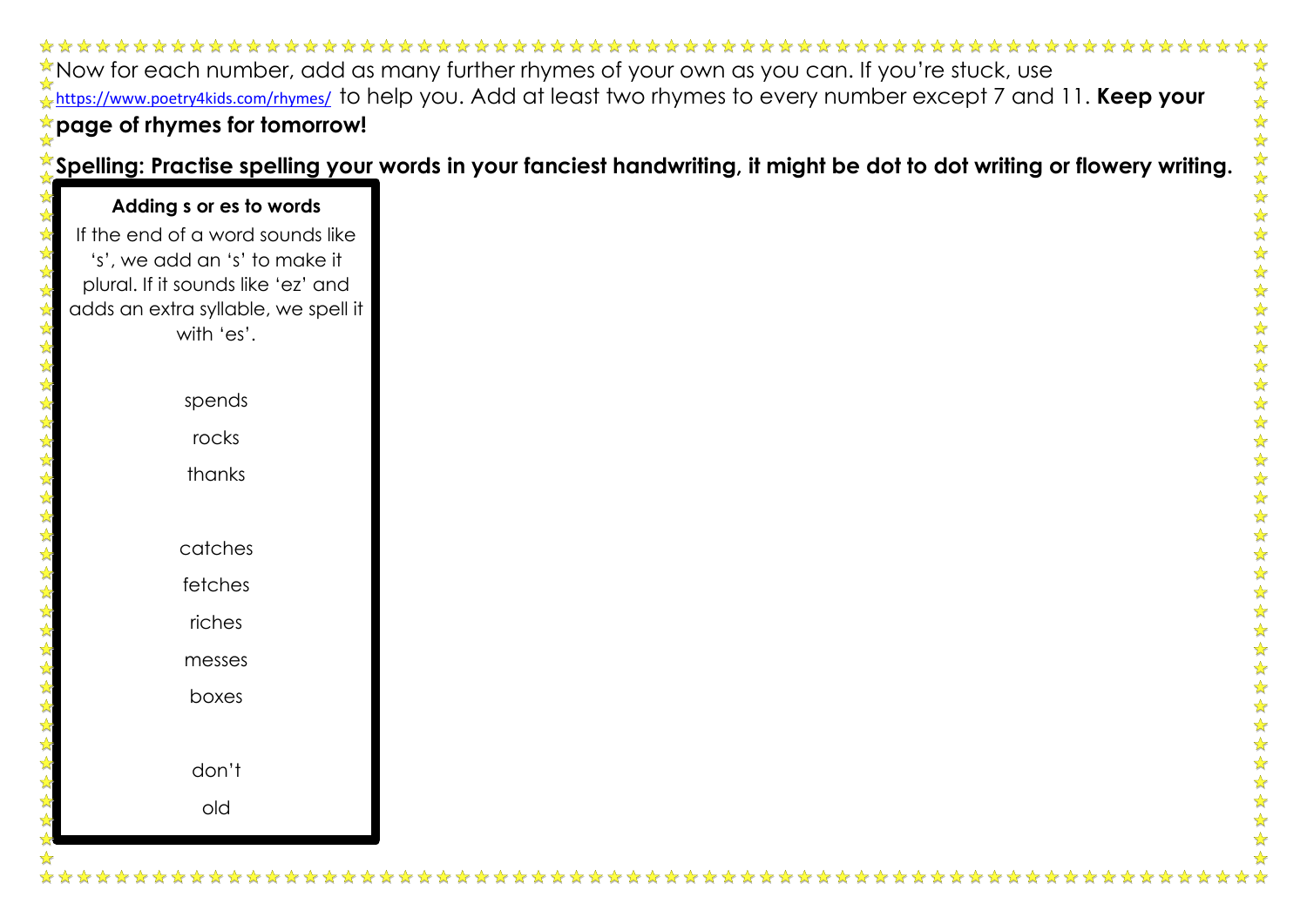Now for each number, add as many further rhymes of your own as you can. If you're stuck, use <https://www.poetry4kids.com/rhymes/>to help you. Add at least two rhymes to every number except 7 and 11. **Keep your page of rhymes for tomorrow!** 

**Spelling: Practise spelling your words in your fanciest handwriting, it might be dot to dot writing or flowery writing.** 

# **Adding s or es to words** If the end of a word sounds like 's', we add an 's' to make it plural. If it sounds like 'ez' and adds an extra syllable, we spell it with 'es'. spends rocks thanks catches fetches riches messes boxes don't old